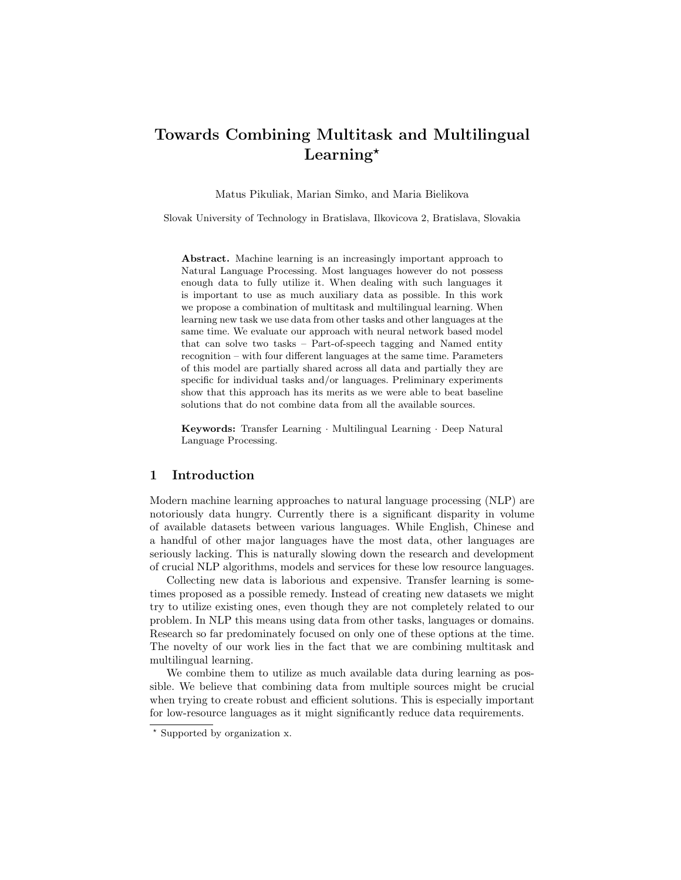# Towards Combining Multitask and Multilingual Learning $\star$

Matus Pikuliak, Marian Simko, and Maria Bielikova

Slovak University of Technology in Bratislava, Ilkovicova 2, Bratislava, Slovakia

Abstract. Machine learning is an increasingly important approach to Natural Language Processing. Most languages however do not possess enough data to fully utilize it. When dealing with such languages it is important to use as much auxiliary data as possible. In this work we propose a combination of multitask and multilingual learning. When learning new task we use data from other tasks and other languages at the same time. We evaluate our approach with neural network based model that can solve two tasks – Part-of-speech tagging and Named entity recognition – with four different languages at the same time. Parameters of this model are partially shared across all data and partially they are specific for individual tasks and/or languages. Preliminary experiments show that this approach has its merits as we were able to beat baseline solutions that do not combine data from all the available sources.

Keywords: Transfer Learning · Multilingual Learning · Deep Natural Language Processing.

## 1 Introduction

Modern machine learning approaches to natural language processing (NLP) are notoriously data hungry. Currently there is a significant disparity in volume of available datasets between various languages. While English, Chinese and a handful of other major languages have the most data, other languages are seriously lacking. This is naturally slowing down the research and development of crucial NLP algorithms, models and services for these low resource languages.

Collecting new data is laborious and expensive. Transfer learning is sometimes proposed as a possible remedy. Instead of creating new datasets we might try to utilize existing ones, even though they are not completely related to our problem. In NLP this means using data from other tasks, languages or domains. Research so far predominately focused on only one of these options at the time. The novelty of our work lies in the fact that we are combining multitask and multilingual learning.

We combine them to utilize as much available data during learning as possible. We believe that combining data from multiple sources might be crucial when trying to create robust and efficient solutions. This is especially important for low-resource languages as it might significantly reduce data requirements.

<sup>?</sup> Supported by organization x.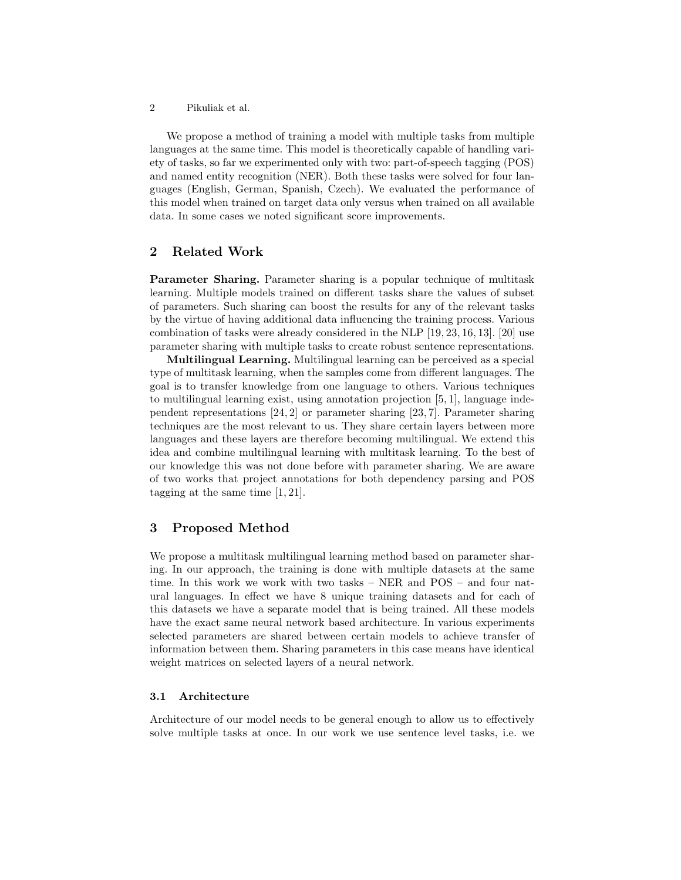We propose a method of training a model with multiple tasks from multiple languages at the same time. This model is theoretically capable of handling variety of tasks, so far we experimented only with two: part-of-speech tagging (POS) and named entity recognition (NER). Both these tasks were solved for four languages (English, German, Spanish, Czech). We evaluated the performance of this model when trained on target data only versus when trained on all available data. In some cases we noted significant score improvements.

# 2 Related Work

Parameter Sharing. Parameter sharing is a popular technique of multitask learning. Multiple models trained on different tasks share the values of subset of parameters. Such sharing can boost the results for any of the relevant tasks by the virtue of having additional data influencing the training process. Various combination of tasks were already considered in the NLP [19, 23, 16, 13]. [20] use parameter sharing with multiple tasks to create robust sentence representations.

Multilingual Learning. Multilingual learning can be perceived as a special type of multitask learning, when the samples come from different languages. The goal is to transfer knowledge from one language to others. Various techniques to multilingual learning exist, using annotation projection [5, 1], language independent representations [24, 2] or parameter sharing [23, 7]. Parameter sharing techniques are the most relevant to us. They share certain layers between more languages and these layers are therefore becoming multilingual. We extend this idea and combine multilingual learning with multitask learning. To the best of our knowledge this was not done before with parameter sharing. We are aware of two works that project annotations for both dependency parsing and POS tagging at the same time [1, 21].

## 3 Proposed Method

We propose a multitask multilingual learning method based on parameter sharing. In our approach, the training is done with multiple datasets at the same time. In this work we work with two tasks – NER and POS – and four natural languages. In effect we have 8 unique training datasets and for each of this datasets we have a separate model that is being trained. All these models have the exact same neural network based architecture. In various experiments selected parameters are shared between certain models to achieve transfer of information between them. Sharing parameters in this case means have identical weight matrices on selected layers of a neural network.

### 3.1 Architecture

Architecture of our model needs to be general enough to allow us to effectively solve multiple tasks at once. In our work we use sentence level tasks, i.e. we

<sup>2</sup> Pikuliak et al.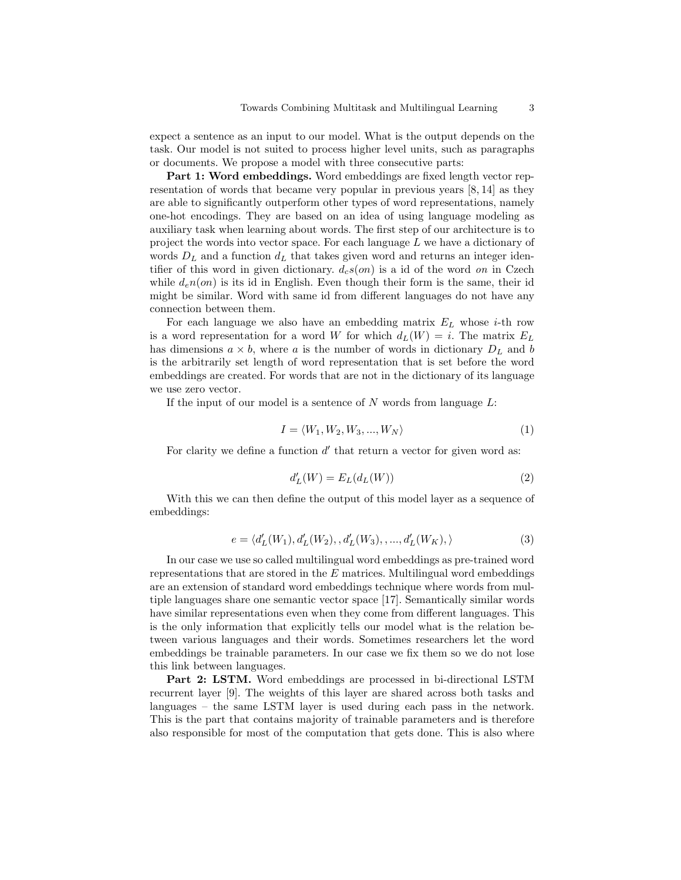expect a sentence as an input to our model. What is the output depends on the task. Our model is not suited to process higher level units, such as paragraphs or documents. We propose a model with three consecutive parts:

Part 1: Word embeddings. Word embeddings are fixed length vector representation of words that became very popular in previous years [8, 14] as they are able to significantly outperform other types of word representations, namely one-hot encodings. They are based on an idea of using language modeling as auxiliary task when learning about words. The first step of our architecture is to project the words into vector space. For each language  $L$  we have a dictionary of words  $D<sub>L</sub>$  and a function  $d<sub>L</sub>$  that takes given word and returns an integer identifier of this word in given dictionary.  $d_c s(\omega)$  is a id of the word on in Czech while  $d_e n(\textit{on})$  is its id in English. Even though their form is the same, their id might be similar. Word with same id from different languages do not have any connection between them.

For each language we also have an embedding matrix  $E_L$  whose *i*-th row is a word representation for a word W for which  $d_L(W) = i$ . The matrix  $E_L$ has dimensions  $a \times b$ , where a is the number of words in dictionary  $D<sub>L</sub>$  and b is the arbitrarily set length of word representation that is set before the word embeddings are created. For words that are not in the dictionary of its language we use zero vector.

If the input of our model is a sentence of  $N$  words from language  $L$ :

$$
I = \langle W_1, W_2, W_3, \dots, W_N \rangle \tag{1}
$$

For clarity we define a function  $d'$  that return a vector for given word as:

$$
d'_{L}(W) = E_{L}(d_{L}(W))
$$
\n(2)

With this we can then define the output of this model layer as a sequence of embeddings:

$$
e = \langle d'_{L}(W_1), d'_{L}(W_2), , d'_{L}(W_3), , ..., d'_{L}(W_K), \rangle
$$
\n(3)

In our case we use so called multilingual word embeddings as pre-trained word representations that are stored in the  $E$  matrices. Multilingual word embeddings are an extension of standard word embeddings technique where words from multiple languages share one semantic vector space [17]. Semantically similar words have similar representations even when they come from different languages. This is the only information that explicitly tells our model what is the relation between various languages and their words. Sometimes researchers let the word embeddings be trainable parameters. In our case we fix them so we do not lose this link between languages.

Part 2: LSTM. Word embeddings are processed in bi-directional LSTM recurrent layer [9]. The weights of this layer are shared across both tasks and languages – the same LSTM layer is used during each pass in the network. This is the part that contains majority of trainable parameters and is therefore also responsible for most of the computation that gets done. This is also where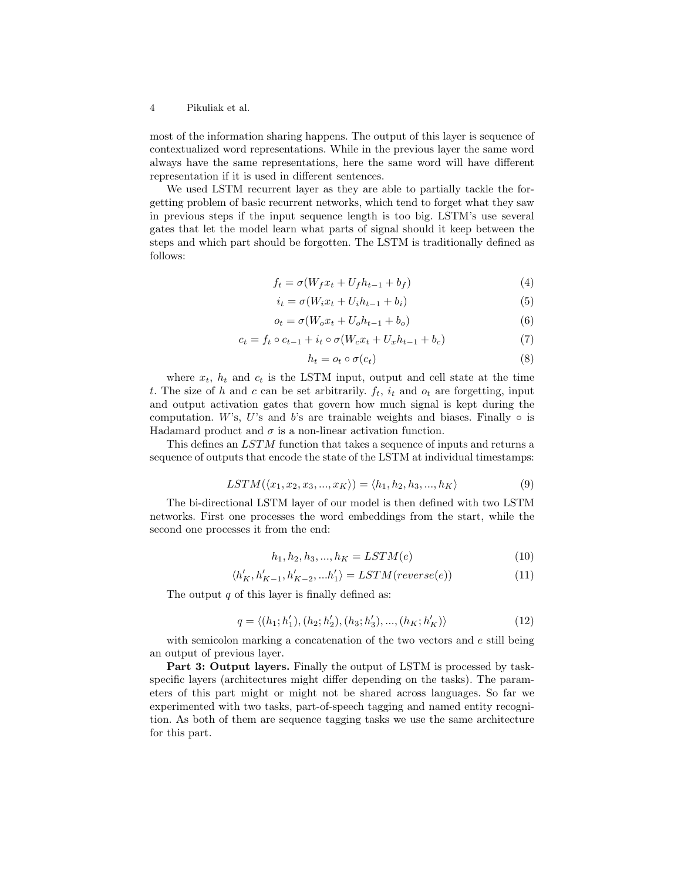4 Pikuliak et al.

most of the information sharing happens. The output of this layer is sequence of contextualized word representations. While in the previous layer the same word always have the same representations, here the same word will have different representation if it is used in different sentences.

We used LSTM recurrent layer as they are able to partially tackle the forgetting problem of basic recurrent networks, which tend to forget what they saw in previous steps if the input sequence length is too big. LSTM's use several gates that let the model learn what parts of signal should it keep between the steps and which part should be forgotten. The LSTM is traditionally defined as follows:

$$
f_t = \sigma(W_f x_t + U_f h_{t-1} + b_f)
$$
\n<sup>(4)</sup>

$$
i_t = \sigma(W_i x_t + U_i h_{t-1} + b_i)
$$
\n<sup>(5)</sup>

$$
o_t = \sigma(W_o x_t + U_o h_{t-1} + b_o)
$$
\n<sup>(6)</sup>

$$
c_t = f_t \circ c_{t-1} + i_t \circ \sigma(W_c x_t + U_x h_{t-1} + b_c)
$$
\n
$$
\tag{7}
$$

$$
h_t = o_t \circ \sigma(c_t) \tag{8}
$$

where  $x_t$ ,  $h_t$  and  $c_t$  is the LSTM input, output and cell state at the time t. The size of h and c can be set arbitrarily.  $f_t$ ,  $i_t$  and  $o_t$  are forgetting, input and output activation gates that govern how much signal is kept during the computation. W's, U's and b's are trainable weights and biases. Finally  $\circ$  is Hadamard product and  $\sigma$  is a non-linear activation function.

This defines an LSTM function that takes a sequence of inputs and returns a sequence of outputs that encode the state of the LSTM at individual timestamps:

$$
LSTM(\langle x_1, x_2, x_3, ..., x_K \rangle) = \langle h_1, h_2, h_3, ..., h_K \rangle \tag{9}
$$

The bi-directional LSTM layer of our model is then defined with two LSTM networks. First one processes the word embeddings from the start, while the second one processes it from the end:

$$
h_1, h_2, h_3, ..., h_K = LSTM(e)
$$
\n(10)

$$
\langle h'_K, h'_{K-1}, h'_{K-2}, \ldots h'_1 \rangle = LSTM(reverse(e)) \tag{11}
$$

The output  $q$  of this layer is finally defined as:

$$
q = \langle (h_1; h'_1), (h_2; h'_2), (h_3; h'_3), ..., (h_K; h'_K) \rangle
$$
\n(12)

with semicolon marking a concatenation of the two vectors and e still being an output of previous layer.

Part 3: Output layers. Finally the output of LSTM is processed by taskspecific layers (architectures might differ depending on the tasks). The parameters of this part might or might not be shared across languages. So far we experimented with two tasks, part-of-speech tagging and named entity recognition. As both of them are sequence tagging tasks we use the same architecture for this part.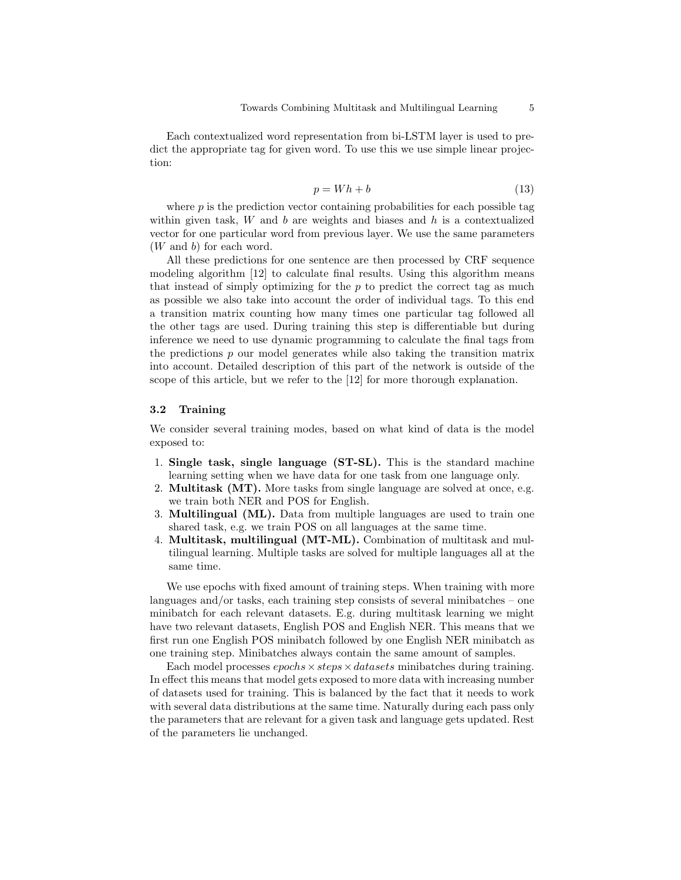Each contextualized word representation from bi-LSTM layer is used to predict the appropriate tag for given word. To use this we use simple linear projection:

$$
p = Wh + b \tag{13}
$$

where  $p$  is the prediction vector containing probabilities for each possible tag within given task,  $W$  and  $b$  are weights and biases and  $h$  is a contextualized vector for one particular word from previous layer. We use the same parameters  $(W$  and b) for each word.

All these predictions for one sentence are then processed by CRF sequence modeling algorithm [12] to calculate final results. Using this algorithm means that instead of simply optimizing for the  $p$  to predict the correct tag as much as possible we also take into account the order of individual tags. To this end a transition matrix counting how many times one particular tag followed all the other tags are used. During training this step is differentiable but during inference we need to use dynamic programming to calculate the final tags from the predictions  $p$  our model generates while also taking the transition matrix into account. Detailed description of this part of the network is outside of the scope of this article, but we refer to the [12] for more thorough explanation.

#### 3.2 Training

We consider several training modes, based on what kind of data is the model exposed to:

- 1. Single task, single language (ST-SL). This is the standard machine learning setting when we have data for one task from one language only.
- 2. Multitask (MT). More tasks from single language are solved at once, e.g. we train both NER and POS for English.
- 3. Multilingual (ML). Data from multiple languages are used to train one shared task, e.g. we train POS on all languages at the same time.
- 4. Multitask, multilingual (MT-ML). Combination of multitask and multilingual learning. Multiple tasks are solved for multiple languages all at the same time.

We use epochs with fixed amount of training steps. When training with more languages and/or tasks, each training step consists of several minibatches – one minibatch for each relevant datasets. E.g. during multitask learning we might have two relevant datasets, English POS and English NER. This means that we first run one English POS minibatch followed by one English NER minibatch as one training step. Minibatches always contain the same amount of samples.

Each model processes  $epochs \times steps \times datasets$  minibatches during training. In effect this means that model gets exposed to more data with increasing number of datasets used for training. This is balanced by the fact that it needs to work with several data distributions at the same time. Naturally during each pass only the parameters that are relevant for a given task and language gets updated. Rest of the parameters lie unchanged.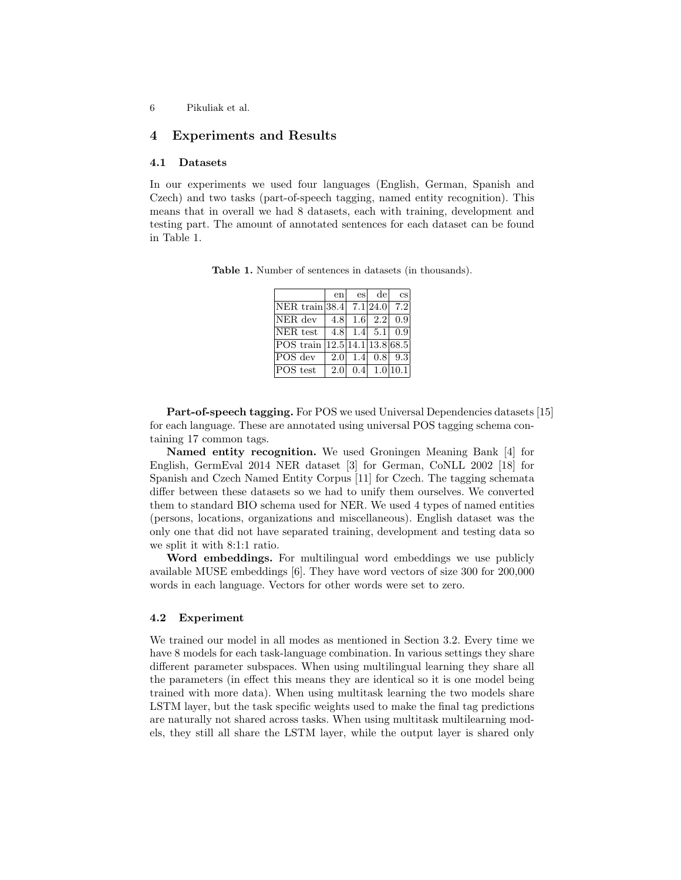6 Pikuliak et al.

## 4 Experiments and Results

#### 4.1 Datasets

In our experiments we used four languages (English, German, Spanish and Czech) and two tasks (part-of-speech tagging, named entity recognition). This means that in overall we had 8 datasets, each with training, development and testing part. The amount of annotated sentences for each dataset can be found in Table 1.

Table 1. Number of sentences in datasets (in thousands).

|                                     | en | es | del                              | $\cos$ |
|-------------------------------------|----|----|----------------------------------|--------|
| NER train 38.4 7.1 24.0             |    |    |                                  | 7.2    |
| NER dev                             |    |    | 4.8 $1.6$ 2.2 0.9                |        |
| NER test                            |    |    | 4.8 1.4 5.1 0.9                  |        |
| $POS train$ $ 12.5 14.1 13.8 68.5 $ |    |    |                                  |        |
| $\overline{POS}$ dev                |    |    | $2.0$ 1.4 0.8 9.3                |        |
| $\overline{P}$ OS test              |    |    | $2.0 $ 0.4 1.0 $\overline{10.1}$ |        |

Part-of-speech tagging. For POS we used Universal Dependencies datasets [15] for each language. These are annotated using universal POS tagging schema containing 17 common tags.

Named entity recognition. We used Groningen Meaning Bank [4] for English, GermEval 2014 NER dataset [3] for German, CoNLL 2002 [18] for Spanish and Czech Named Entity Corpus [11] for Czech. The tagging schemata differ between these datasets so we had to unify them ourselves. We converted them to standard BIO schema used for NER. We used 4 types of named entities (persons, locations, organizations and miscellaneous). English dataset was the only one that did not have separated training, development and testing data so we split it with 8:1:1 ratio.

Word embeddings. For multilingual word embeddings we use publicly available MUSE embeddings [6]. They have word vectors of size 300 for 200,000 words in each language. Vectors for other words were set to zero.

#### 4.2 Experiment

We trained our model in all modes as mentioned in Section 3.2. Every time we have 8 models for each task-language combination. In various settings they share different parameter subspaces. When using multilingual learning they share all the parameters (in effect this means they are identical so it is one model being trained with more data). When using multitask learning the two models share LSTM layer, but the task specific weights used to make the final tag predictions are naturally not shared across tasks. When using multitask multilearning models, they still all share the LSTM layer, while the output layer is shared only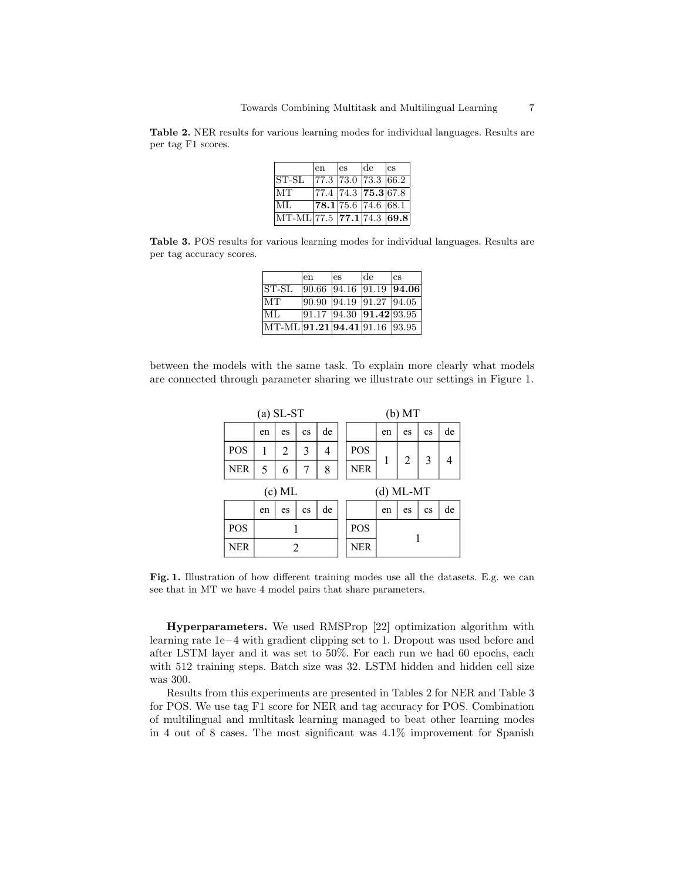|                                               | len | <b>es</b> | lde                                        | <b>CS</b> |
|-----------------------------------------------|-----|-----------|--------------------------------------------|-----------|
| $ST-SL$                                       |     |           | 77.3  73.0  73.3  66.2                     |           |
| <b>MT</b>                                     |     |           | $\overline{77.4}$ 74.3 75.3 67.8           |           |
| ML                                            |     |           | $\vert 78.1\vert 75.6\vert 74.6\vert 68.1$ |           |
| $\rm{[MT\text{-}ML 77.5\  77.1 74.3\  69.8]}$ |     |           |                                            |           |

Table 2. NER results for various learning modes for individual languages. Results are per tag F1 scores.

Table 3. POS results for various learning modes for individual languages. Results are per tag accuracy scores.

|                                                 | en                              | es                           | lde | lcs                                     |
|-------------------------------------------------|---------------------------------|------------------------------|-----|-----------------------------------------|
| $IST-SL$                                        |                                 |                              |     | $ 90.66 $ $ 94.16 $ $ 91.19 $ $ 94.06 $ |
| <b>IMT</b>                                      | 90.90                           | $ 94.19 \t  91.27 \t  94.05$ |     |                                         |
| IML                                             | $91.17$ $94.30$ $91.42$ $93.95$ |                              |     |                                         |
| $\rm{[MT\text{-}ML 91.21 94.41 91.16\  93.95]}$ |                                 |                              |     |                                         |

between the models with the same task. To explain more clearly what models are connected through parameter sharing we illustrate our settings in Figure 1.

| $(a) SL-ST$ |    |    | $(b)$ MT               |    |  |            |    |    |                        |    |
|-------------|----|----|------------------------|----|--|------------|----|----|------------------------|----|
|             | en | es | $\mathbf{c}\mathbf{s}$ | de |  |            | en | es | $\mathbf{c}\mathbf{s}$ | de |
| POS         |    | 2  | 3                      | 4  |  | POS        |    | 2  | 3                      |    |
| <b>NER</b>  | 5  | 6  | 7                      | 8  |  | <b>NER</b> | 1  |    |                        |    |
| $(c)$ ML    |    |    | $(d)$ ML-MT            |    |  |            |    |    |                        |    |
|             | en | es | $\mathbf{c}\mathbf{s}$ | de |  |            | en | es | $\mathbf{c}\mathbf{s}$ | de |
| POS         |    |    | POS                    |    |  |            |    |    |                        |    |
|             |    |    |                        |    |  |            |    |    |                        |    |

Fig. 1. Illustration of how different training modes use all the datasets. E.g. we can see that in MT we have 4 model pairs that share parameters.

Hyperparameters. We used RMSProp [22] optimization algorithm with learning rate 1e−4 with gradient clipping set to 1. Dropout was used before and after LSTM layer and it was set to 50%. For each run we had 60 epochs, each with 512 training steps. Batch size was 32. LSTM hidden and hidden cell size was 300.

Results from this experiments are presented in Tables 2 for NER and Table 3 for POS. We use tag F1 score for NER and tag accuracy for POS. Combination of multilingual and multitask learning managed to beat other learning modes in 4 out of 8 cases. The most significant was 4.1% improvement for Spanish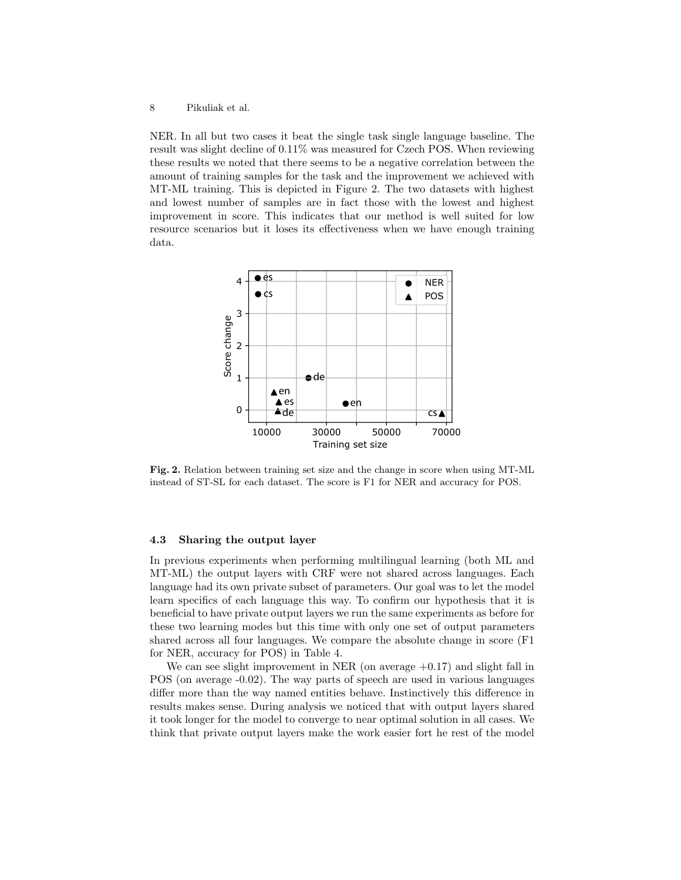NER. In all but two cases it beat the single task single language baseline. The result was slight decline of 0.11% was measured for Czech POS. When reviewing these results we noted that there seems to be a negative correlation between the amount of training samples for the task and the improvement we achieved with MT-ML training. This is depicted in Figure 2. The two datasets with highest and lowest number of samples are in fact those with the lowest and highest improvement in score. This indicates that our method is well suited for low resource scenarios but it loses its effectiveness when we have enough training data.



Fig. 2. Relation between training set size and the change in score when using MT-ML instead of ST-SL for each dataset. The score is F1 for NER and accuracy for POS.

#### 4.3 Sharing the output layer

In previous experiments when performing multilingual learning (both ML and MT-ML) the output layers with CRF were not shared across languages. Each language had its own private subset of parameters. Our goal was to let the model learn specifics of each language this way. To confirm our hypothesis that it is beneficial to have private output layers we run the same experiments as before for these two learning modes but this time with only one set of output parameters shared across all four languages. We compare the absolute change in score (F1 for NER, accuracy for POS) in Table 4.

We can see slight improvement in NER (on average  $+0.17$ ) and slight fall in POS (on average -0.02). The way parts of speech are used in various languages differ more than the way named entities behave. Instinctively this difference in results makes sense. During analysis we noticed that with output layers shared it took longer for the model to converge to near optimal solution in all cases. We think that private output layers make the work easier fort he rest of the model

<sup>8</sup> Pikuliak et al.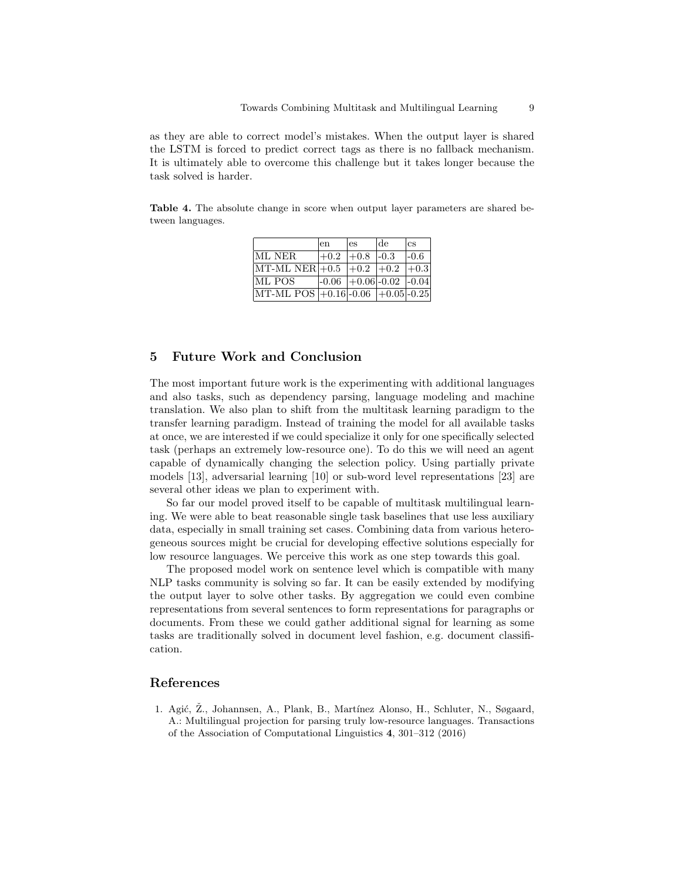as they are able to correct model's mistakes. When the output layer is shared the LSTM is forced to predict correct tags as there is no fallback mechanism. It is ultimately able to overcome this challenge but it takes longer because the task solved is harder.

Table 4. The absolute change in score when output layer parameters are shared between languages.

|                                              | len                                                                                 | les         | lde | lcs    |
|----------------------------------------------|-------------------------------------------------------------------------------------|-------------|-----|--------|
| IML NER                                      | $ +0.2 +0.8 $ -0.3                                                                  |             |     | $-0.6$ |
| $\rm{MT\text{-}ML}$ NER $\rm{]+0.5}$         |                                                                                     | $+0.2$ +0.2 |     | $+0.3$ |
| IML POS                                      | $\left[-0.06\right]$ $\left[-0.06\right]$ $\left[-0.02\right]$ $\left[-0.04\right]$ |             |     |        |
| $ MT-ML$ POS $ +0.16 $ -0.06 $ +0.05 $ -0.25 |                                                                                     |             |     |        |

# 5 Future Work and Conclusion

The most important future work is the experimenting with additional languages and also tasks, such as dependency parsing, language modeling and machine translation. We also plan to shift from the multitask learning paradigm to the transfer learning paradigm. Instead of training the model for all available tasks at once, we are interested if we could specialize it only for one specifically selected task (perhaps an extremely low-resource one). To do this we will need an agent capable of dynamically changing the selection policy. Using partially private models [13], adversarial learning [10] or sub-word level representations [23] are several other ideas we plan to experiment with.

So far our model proved itself to be capable of multitask multilingual learning. We were able to beat reasonable single task baselines that use less auxiliary data, especially in small training set cases. Combining data from various heterogeneous sources might be crucial for developing effective solutions especially for low resource languages. We perceive this work as one step towards this goal.

The proposed model work on sentence level which is compatible with many NLP tasks community is solving so far. It can be easily extended by modifying the output layer to solve other tasks. By aggregation we could even combine representations from several sentences to form representations for paragraphs or documents. From these we could gather additional signal for learning as some tasks are traditionally solved in document level fashion, e.g. document classification.

### References

1. Agić, Ž., Johannsen, A., Plank, B., Martínez Alonso, H., Schluter, N., Søgaard, A.: Multilingual projection for parsing truly low-resource languages. Transactions of the Association of Computational Linguistics 4, 301–312 (2016)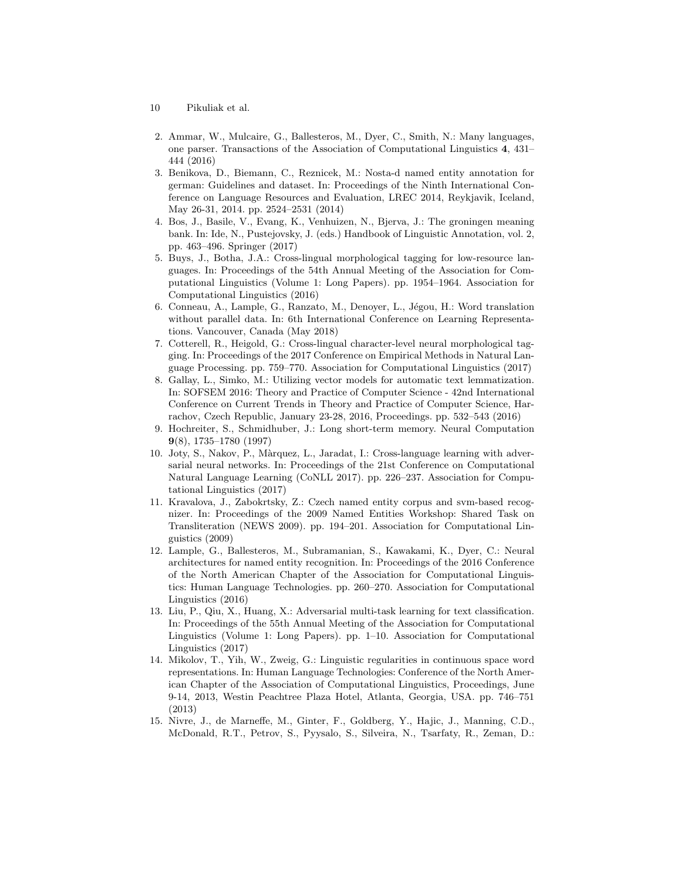- 10 Pikuliak et al.
- 2. Ammar, W., Mulcaire, G., Ballesteros, M., Dyer, C., Smith, N.: Many languages, one parser. Transactions of the Association of Computational Linguistics 4, 431– 444 (2016)
- 3. Benikova, D., Biemann, C., Reznicek, M.: Nosta-d named entity annotation for german: Guidelines and dataset. In: Proceedings of the Ninth International Conference on Language Resources and Evaluation, LREC 2014, Reykjavik, Iceland, May 26-31, 2014. pp. 2524–2531 (2014)
- 4. Bos, J., Basile, V., Evang, K., Venhuizen, N., Bjerva, J.: The groningen meaning bank. In: Ide, N., Pustejovsky, J. (eds.) Handbook of Linguistic Annotation, vol. 2, pp. 463–496. Springer (2017)
- 5. Buys, J., Botha, J.A.: Cross-lingual morphological tagging for low-resource languages. In: Proceedings of the 54th Annual Meeting of the Association for Computational Linguistics (Volume 1: Long Papers). pp. 1954–1964. Association for Computational Linguistics (2016)
- 6. Conneau, A., Lample, G., Ranzato, M., Denoyer, L., Jégou, H.: Word translation without parallel data. In: 6th International Conference on Learning Representations. Vancouver, Canada (May 2018)
- 7. Cotterell, R., Heigold, G.: Cross-lingual character-level neural morphological tagging. In: Proceedings of the 2017 Conference on Empirical Methods in Natural Language Processing. pp. 759–770. Association for Computational Linguistics (2017)
- 8. Gallay, L., Simko, M.: Utilizing vector models for automatic text lemmatization. In: SOFSEM 2016: Theory and Practice of Computer Science - 42nd International Conference on Current Trends in Theory and Practice of Computer Science, Harrachov, Czech Republic, January 23-28, 2016, Proceedings. pp. 532–543 (2016)
- 9. Hochreiter, S., Schmidhuber, J.: Long short-term memory. Neural Computation 9(8), 1735–1780 (1997)
- 10. Joty, S., Nakov, P., M`arquez, L., Jaradat, I.: Cross-language learning with adversarial neural networks. In: Proceedings of the 21st Conference on Computational Natural Language Learning (CoNLL 2017). pp. 226–237. Association for Computational Linguistics (2017)
- 11. Kravalova, J., Zabokrtsky, Z.: Czech named entity corpus and svm-based recognizer. In: Proceedings of the 2009 Named Entities Workshop: Shared Task on Transliteration (NEWS 2009). pp. 194–201. Association for Computational Linguistics (2009)
- 12. Lample, G., Ballesteros, M., Subramanian, S., Kawakami, K., Dyer, C.: Neural architectures for named entity recognition. In: Proceedings of the 2016 Conference of the North American Chapter of the Association for Computational Linguistics: Human Language Technologies. pp. 260–270. Association for Computational Linguistics (2016)
- 13. Liu, P., Qiu, X., Huang, X.: Adversarial multi-task learning for text classification. In: Proceedings of the 55th Annual Meeting of the Association for Computational Linguistics (Volume 1: Long Papers). pp. 1–10. Association for Computational Linguistics (2017)
- 14. Mikolov, T., Yih, W., Zweig, G.: Linguistic regularities in continuous space word representations. In: Human Language Technologies: Conference of the North American Chapter of the Association of Computational Linguistics, Proceedings, June 9-14, 2013, Westin Peachtree Plaza Hotel, Atlanta, Georgia, USA. pp. 746–751 (2013)
- 15. Nivre, J., de Marneffe, M., Ginter, F., Goldberg, Y., Hajic, J., Manning, C.D., McDonald, R.T., Petrov, S., Pyysalo, S., Silveira, N., Tsarfaty, R., Zeman, D.: